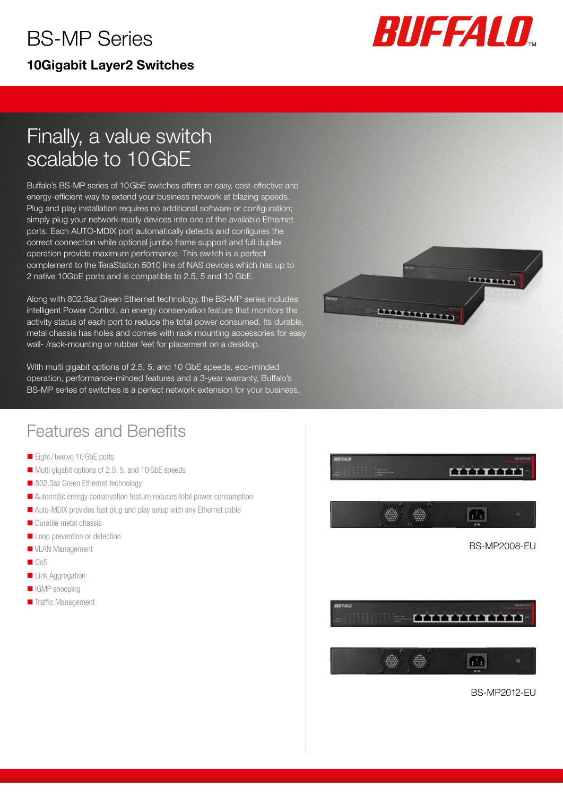## BS-MP Series 10Gigabit Layer2 Switches



# Finally, a value switch scalable to 10GbE

Buffalo's BS-MP series of 10GbE switches offers an easy, cost-effective and energy-efficient way to extend your business network at blazing speeds. Plug and play installation requires no additional software or configuration; simply plug your network-ready devices into one of the available Ethernet ports. Each AUTO-MDIX port automatically detects and configures the correct connection while optional jumbo frame support and full duplex operation provide maximum performance. This switch is a perfect complement to the TeraStation 5010 line of NAS devices which has up to 2 native 10GbE ports and is compatible to 2.5, 5 and 10 GbE.

Along with 802.3az Green Ethernet technology, the BS-MP series includes intelligent Power Control, an energy conservation feature that monitors the activity status of each port to reduce the total power consumed. Its durable, metal chassis has holes and comes with rack mounting accessories for easy wall- /rack-mounting or rubber feet for placement on a desktop.

With multi gigabit options of 2.5, 5, and 10 GbE speeds, eco-minded operation, performance-minded features and a 3-year warranty, Buffalo's BS-MP series of switches is a perfect network extension for your business.



#### Features and Benefits

- Eight/twelve 10 GbE ports
- Multi gigabit options of 2.5, 5, and 10 GbE speeds
- 802.3az Green Ethernet technology
- Automatic energy conservation feature reduces total power consumption
- Auto-MDIX provides fast plug and play setup with any Ethernet cable
- Durable metal chassis
- Loop prevention or detection
- **VLAN Management**
- **QoS**
- **Link Aggregation**
- **IGMP** snooping
- **Traffic Management**